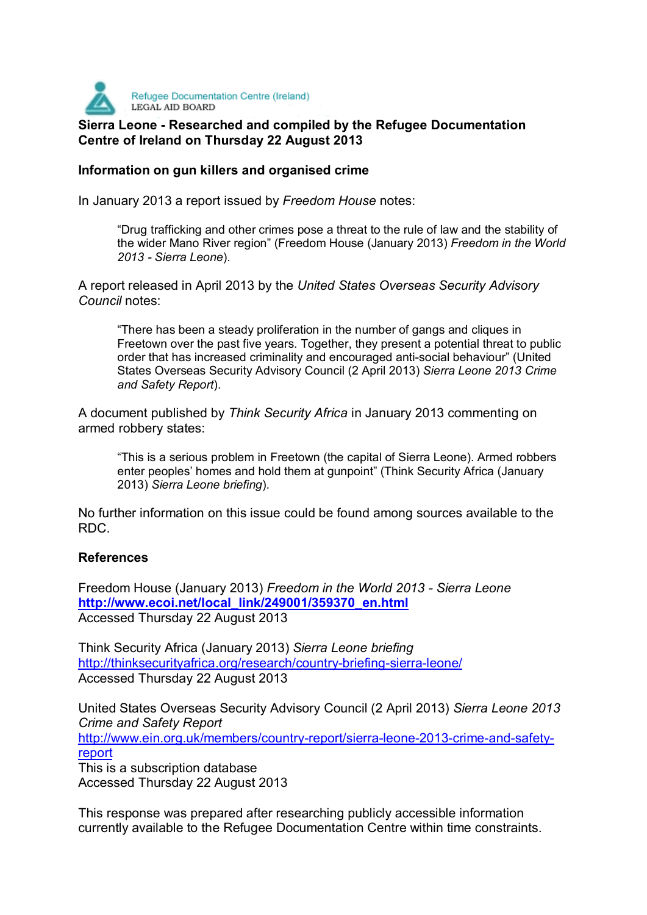

## **Sierra Leone - Researched and compiled by the Refugee Documentation Centre of Ireland on Thursday 22 August 2013**

## **Information on gun killers and organised crime**

In January 2013 a report issued by *Freedom House* notes:

"Drug trafficking and other crimes pose a threat to the rule of law and the stability of the wider Mano River region" (Freedom House (January 2013) *Freedom in the World 2013 - Sierra Leone*).

A report released in April 2013 by the *United States Overseas Security Advisory Council* notes:

"There has been a steady proliferation in the number of gangs and cliques in Freetown over the past five years. Together, they present a potential threat to public order that has increased criminality and encouraged anti-social behaviour" (United States Overseas Security Advisory Council (2 April 2013) *Sierra Leone 2013 Crime and Safety Report*).

A document published by *Think Security Africa* in January 2013 commenting on armed robbery states:

"This is a serious problem in Freetown (the capital of Sierra Leone). Armed robbers enter peoples' homes and hold them at gunpoint" (Think Security Africa (January 2013) *Sierra Leone briefing*).

No further information on this issue could be found among sources available to the RDC.

## **References**

Freedom House (January 2013) *Freedom in the World 2013 - Sierra Leone*  **http://www.ecoi.net/local\_link/249001/359370\_en.html** Accessed Thursday 22 August 2013

Think Security Africa (January 2013) *Sierra Leone briefing*  http://thinksecurityafrica.org/research/country-briefing-sierra-leone/ Accessed Thursday 22 August 2013

United States Overseas Security Advisory Council (2 April 2013) *Sierra Leone 2013 Crime and Safety Report*  http://www.ein.org.uk/members/country-report/sierra-leone-2013-crime-and-safetyreport This is a subscription database

Accessed Thursday 22 August 2013

This response was prepared after researching publicly accessible information currently available to the Refugee Documentation Centre within time constraints.